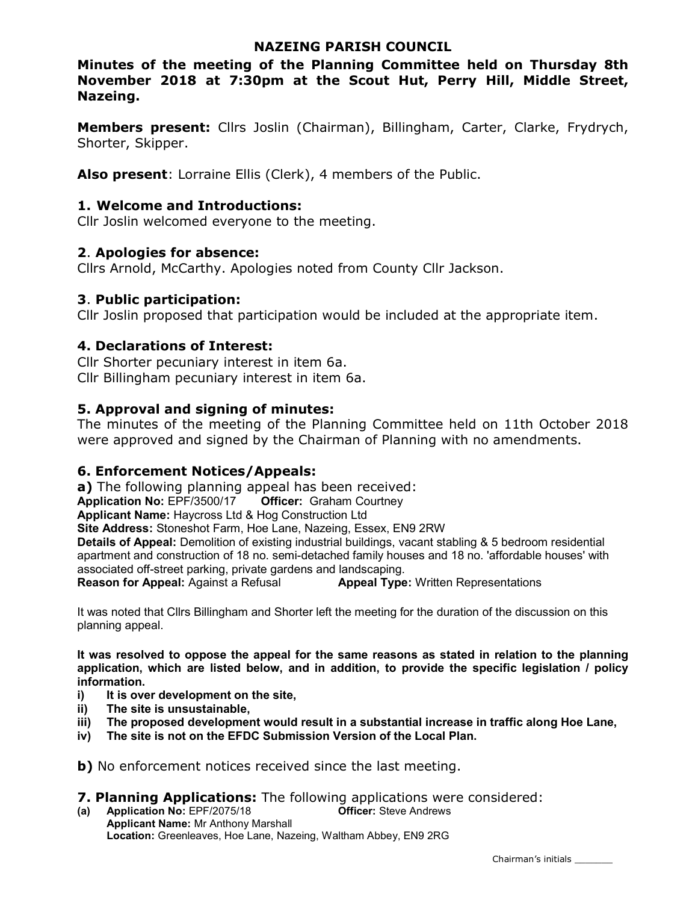### NAZEING PARISH COUNCIL

Minutes of the meeting of the Planning Committee held on Thursday 8th November 2018 at 7:30pm at the Scout Hut, Perry Hill, Middle Street, Nazeing.

Members present: Cllrs Joslin (Chairman), Billingham, Carter, Clarke, Frydrych, Shorter, Skipper.

Also present: Lorraine Ellis (Clerk), 4 members of the Public.

### 1. Welcome and Introductions:

Cllr Joslin welcomed everyone to the meeting.

### 2. Apologies for absence:

Cllrs Arnold, McCarthy. Apologies noted from County Cllr Jackson.

### 3. Public participation:

Cllr Joslin proposed that participation would be included at the appropriate item.

# 4. Declarations of Interest:

Cllr Shorter pecuniary interest in item 6a. Cllr Billingham pecuniary interest in item 6a.

### 5. Approval and signing of minutes:

The minutes of the meeting of the Planning Committee held on 11th October 2018 were approved and signed by the Chairman of Planning with no amendments.

# 6. Enforcement Notices/Appeals:

a) The following planning appeal has been received: Application No: EPF/3500/17 Officer: Graham Courtney Applicant Name: Haycross Ltd & Hog Construction Ltd Site Address: Stoneshot Farm, Hoe Lane, Nazeing, Essex, EN9 2RW Details of Appeal: Demolition of existing industrial buildings, vacant stabling & 5 bedroom residential apartment and construction of 18 no. semi-detached family houses and 18 no. 'affordable houses' with associated off-street parking, private gardens and landscaping.<br>**Reason for Appeal:** Against a Refusal **Appeal Type** Appeal Type: Written Representations

It was noted that Cllrs Billingham and Shorter left the meeting for the duration of the discussion on this planning appeal.

It was resolved to oppose the appeal for the same reasons as stated in relation to the planning application, which are listed below, and in addition, to provide the specific legislation / policy information.

- i) It is over development on the site,
- ii) The site is unsustainable,
- iii) The proposed development would result in a substantial increase in traffic along Hoe Lane,
- iv) The site is not on the EFDC Submission Version of the Local Plan.

b) No enforcement notices received since the last meeting.

7. Planning Applications: The following applications were considered:

(a) Application No: EPF/2075/18 Officer: Steve Andrews Applicant Name: Mr Anthony Marshall Location: Greenleaves, Hoe Lane, Nazeing, Waltham Abbey, EN9 2RG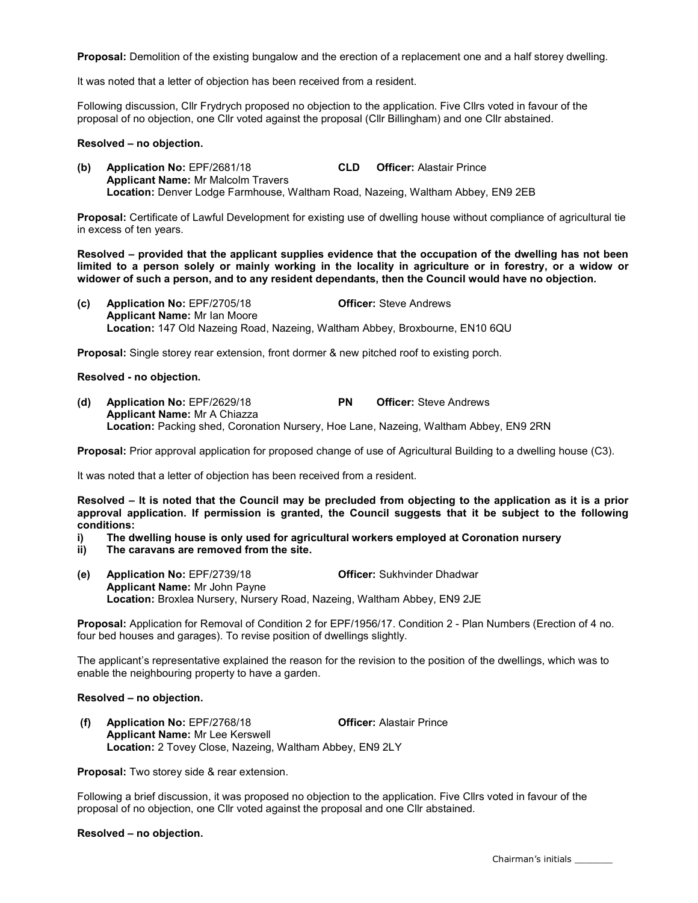Proposal: Demolition of the existing bungalow and the erection of a replacement one and a half storey dwelling.

It was noted that a letter of objection has been received from a resident.

Following discussion, Cllr Frydrych proposed no objection to the application. Five Cllrs voted in favour of the proposal of no objection, one Cllr voted against the proposal (Cllr Billingham) and one Cllr abstained.

#### Resolved – no objection.

(b) Application No: EPF/2681/18 CLD Officer: Alastair Prince Applicant Name: Mr Malcolm Travers Location: Denver Lodge Farmhouse, Waltham Road, Nazeing, Waltham Abbey, EN9 2EB

Proposal: Certificate of Lawful Development for existing use of dwelling house without compliance of agricultural tie in excess of ten years.

Resolved – provided that the applicant supplies evidence that the occupation of the dwelling has not been limited to a person solely or mainly working in the locality in agriculture or in forestry, or a widow or widower of such a person, and to any resident dependants, then the Council would have no objection.

(c) Application No: EPF/2705/18 Officer: Steve Andrews Applicant Name: Mr Ian Moore Location: 147 Old Nazeing Road, Nazeing, Waltham Abbey, Broxbourne, EN10 6QU

Proposal: Single storey rear extension, front dormer & new pitched roof to existing porch.

Resolved - no objection.

(d) Application No: EPF/2629/18 PN Officer: Steve Andrews Applicant Name: Mr A Chiazza Location: Packing shed, Coronation Nursery, Hoe Lane, Nazeing, Waltham Abbey, EN9 2RN

Proposal: Prior approval application for proposed change of use of Agricultural Building to a dwelling house (C3).

It was noted that a letter of objection has been received from a resident.

Resolved – It is noted that the Council may be precluded from objecting to the application as it is a prior approval application. If permission is granted, the Council suggests that it be subject to the following conditions:

- i) The dwelling house is only used for agricultural workers employed at Coronation nursery
- ii) The caravans are removed from the site.
- (e) Application No: EPF/2739/18 Officer: Sukhvinder Dhadwar Applicant Name: Mr John Payne Location: Broxlea Nursery, Nursery Road, Nazeing, Waltham Abbey, EN9 2JE

Proposal: Application for Removal of Condition 2 for EPF/1956/17. Condition 2 - Plan Numbers (Erection of 4 no. four bed houses and garages). To revise position of dwellings slightly.

The applicant's representative explained the reason for the revision to the position of the dwellings, which was to enable the neighbouring property to have a garden.

### Resolved – no objection.

 (f) Application No: EPF/2768/18 Officer: Alastair Prince Applicant Name: Mr Lee Kerswell Location: 2 Tovey Close, Nazeing, Waltham Abbey, EN9 2LY

Proposal: Two storey side & rear extension.

Following a brief discussion, it was proposed no objection to the application. Five Cllrs voted in favour of the proposal of no objection, one Cllr voted against the proposal and one Cllr abstained.

#### Resolved – no objection.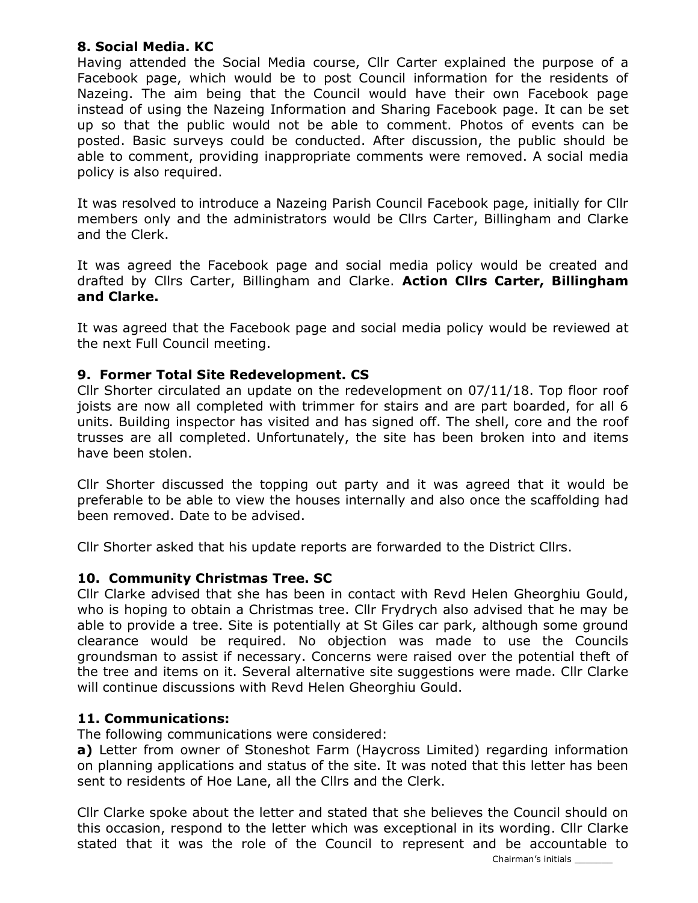# 8. Social Media. KC

Having attended the Social Media course, Cllr Carter explained the purpose of a Facebook page, which would be to post Council information for the residents of Nazeing. The aim being that the Council would have their own Facebook page instead of using the Nazeing Information and Sharing Facebook page. It can be set up so that the public would not be able to comment. Photos of events can be posted. Basic surveys could be conducted. After discussion, the public should be able to comment, providing inappropriate comments were removed. A social media policy is also required.

It was resolved to introduce a Nazeing Parish Council Facebook page, initially for Cllr members only and the administrators would be Cllrs Carter, Billingham and Clarke and the Clerk.

It was agreed the Facebook page and social media policy would be created and drafted by Cllrs Carter, Billingham and Clarke. Action Cllrs Carter, Billingham and Clarke.

It was agreed that the Facebook page and social media policy would be reviewed at the next Full Council meeting.

# 9. Former Total Site Redevelopment. CS

Cllr Shorter circulated an update on the redevelopment on 07/11/18. Top floor roof joists are now all completed with trimmer for stairs and are part boarded, for all 6 units. Building inspector has visited and has signed off. The shell, core and the roof trusses are all completed. Unfortunately, the site has been broken into and items have been stolen.

Cllr Shorter discussed the topping out party and it was agreed that it would be preferable to be able to view the houses internally and also once the scaffolding had been removed. Date to be advised.

Cllr Shorter asked that his update reports are forwarded to the District Cllrs.

# 10. Community Christmas Tree. SC

Cllr Clarke advised that she has been in contact with Revd Helen Gheorghiu Gould, who is hoping to obtain a Christmas tree. Cllr Frydrych also advised that he may be able to provide a tree. Site is potentially at St Giles car park, although some ground clearance would be required. No objection was made to use the Councils groundsman to assist if necessary. Concerns were raised over the potential theft of the tree and items on it. Several alternative site suggestions were made. Cllr Clarke will continue discussions with Revd Helen Gheorghiu Gould.

# 11. Communications:

The following communications were considered:

a) Letter from owner of Stoneshot Farm (Haycross Limited) regarding information on planning applications and status of the site. It was noted that this letter has been sent to residents of Hoe Lane, all the Cllrs and the Clerk.

Cllr Clarke spoke about the letter and stated that she believes the Council should on this occasion, respond to the letter which was exceptional in its wording. Cllr Clarke stated that it was the role of the Council to represent and be accountable to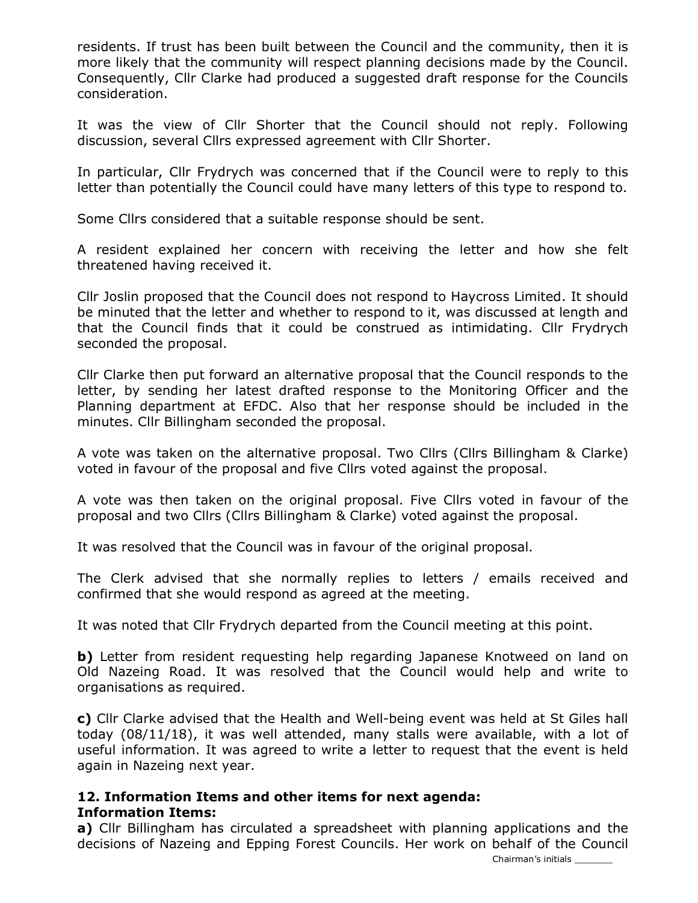residents. If trust has been built between the Council and the community, then it is more likely that the community will respect planning decisions made by the Council. Consequently, Cllr Clarke had produced a suggested draft response for the Councils consideration.

It was the view of Cllr Shorter that the Council should not reply. Following discussion, several Cllrs expressed agreement with Cllr Shorter.

In particular, Cllr Frydrych was concerned that if the Council were to reply to this letter than potentially the Council could have many letters of this type to respond to.

Some Cllrs considered that a suitable response should be sent.

A resident explained her concern with receiving the letter and how she felt threatened having received it.

Cllr Joslin proposed that the Council does not respond to Haycross Limited. It should be minuted that the letter and whether to respond to it, was discussed at length and that the Council finds that it could be construed as intimidating. Cllr Frydrych seconded the proposal.

Cllr Clarke then put forward an alternative proposal that the Council responds to the letter, by sending her latest drafted response to the Monitoring Officer and the Planning department at EFDC. Also that her response should be included in the minutes. Cllr Billingham seconded the proposal.

A vote was taken on the alternative proposal. Two Cllrs (Cllrs Billingham & Clarke) voted in favour of the proposal and five Cllrs voted against the proposal.

A vote was then taken on the original proposal. Five Cllrs voted in favour of the proposal and two Cllrs (Cllrs Billingham & Clarke) voted against the proposal.

It was resolved that the Council was in favour of the original proposal.

The Clerk advised that she normally replies to letters / emails received and confirmed that she would respond as agreed at the meeting.

It was noted that Cllr Frydrych departed from the Council meeting at this point.

b) Letter from resident requesting help regarding Japanese Knotweed on land on Old Nazeing Road. It was resolved that the Council would help and write to organisations as required.

c) Cllr Clarke advised that the Health and Well-being event was held at St Giles hall today (08/11/18), it was well attended, many stalls were available, with a lot of useful information. It was agreed to write a letter to request that the event is held again in Nazeing next year.

### 12. Information Items and other items for next agenda: Information Items:

a) Cllr Billingham has circulated a spreadsheet with planning applications and the decisions of Nazeing and Epping Forest Councils. Her work on behalf of the Council